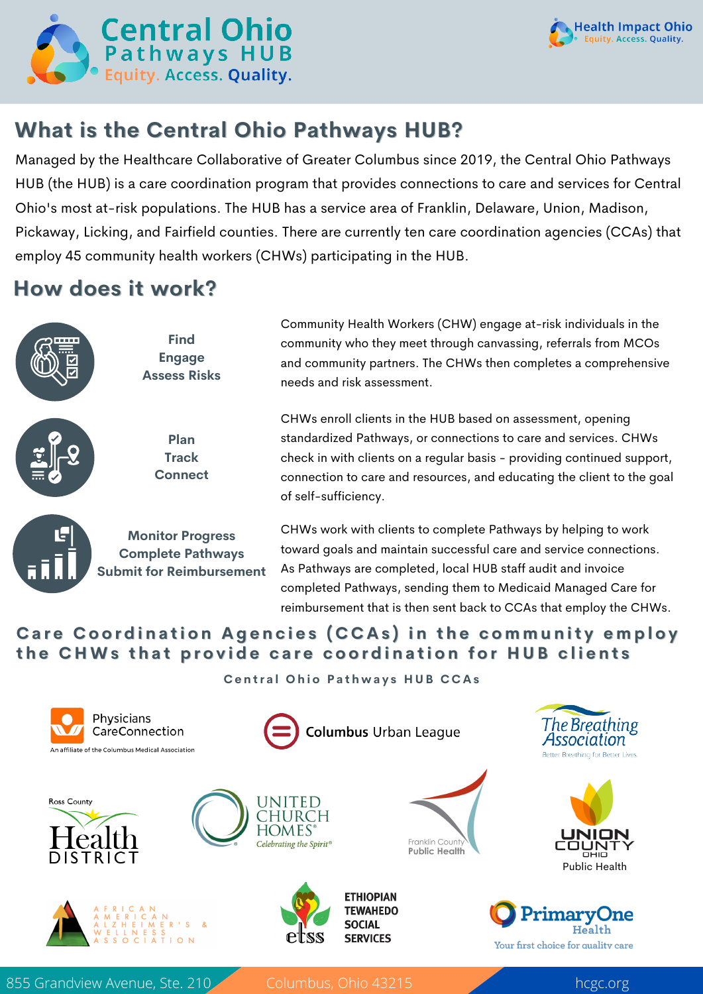



# **What is the Central Ohio Pathways HUB?**

Managed by the Healthcare Collaborative of Greater Columbus since 2019, the Central Ohio Pathways HUB (the HUB) is a care coordination program that provides connections to care and services for Central Ohio's most at-risk populations. The HUB has a service area of Franklin, Delaware, Union, Madison, Pickaway, Licking, and Fairfield counties. There are currently ten care coordination agencies (CCAs) that employ 45 community health workers (CHWs) participating in the HUB.

### **How does it work?**



#### Care Coordination Agencies (CCAs) in the community employ the CHWs that provide care coordination for HUB clients

**Central Ohio Pathways HUB CCAs** 



855 Grandview Avenue, Ste. 210 Columbus, Ohio 43215 hcgc.org